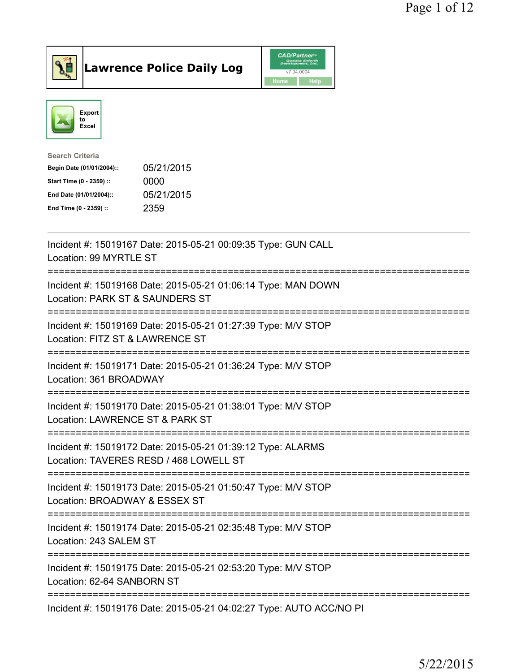



| <b>Search Criteria</b>    |            |
|---------------------------|------------|
| Begin Date (01/01/2004):: | 05/21/2015 |
| Start Time (0 - 2359) ::  | 0000       |
| End Date (01/01/2004)::   | 05/21/2015 |
| End Time (0 - 2359) ::    | 2359       |
|                           |            |

| Incident #: 15019167 Date: 2015-05-21 00:09:35 Type: GUN CALL<br>Location: 99 MYRTLE ST               |
|-------------------------------------------------------------------------------------------------------|
| Incident #: 15019168 Date: 2015-05-21 01:06:14 Type: MAN DOWN<br>Location: PARK ST & SAUNDERS ST      |
| Incident #: 15019169 Date: 2015-05-21 01:27:39 Type: M/V STOP<br>Location: FITZ ST & LAWRENCE ST      |
| Incident #: 15019171 Date: 2015-05-21 01:36:24 Type: M/V STOP<br>Location: 361 BROADWAY               |
| Incident #: 15019170 Date: 2015-05-21 01:38:01 Type: M/V STOP<br>Location: LAWRENCE ST & PARK ST      |
| Incident #: 15019172 Date: 2015-05-21 01:39:12 Type: ALARMS<br>Location: TAVERES RESD / 468 LOWELL ST |
| Incident #: 15019173 Date: 2015-05-21 01:50:47 Type: M/V STOP<br>Location: BROADWAY & ESSEX ST        |
| Incident #: 15019174 Date: 2015-05-21 02:35:48 Type: M/V STOP<br>Location: 243 SALEM ST               |
| Incident #: 15019175 Date: 2015-05-21 02:53:20 Type: M/V STOP<br>Location: 62-64 SANBORN ST           |
| Incident #: 15019176 Date: 2015-05-21 04:02:27 Type: AUTO ACC/NO PI                                   |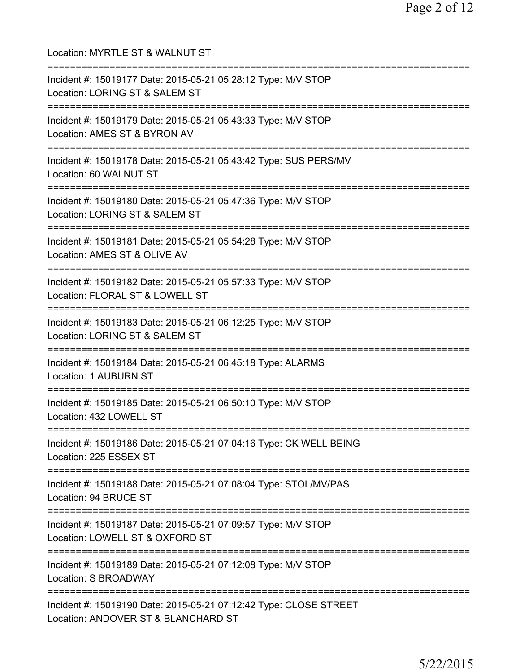| Location: MYRTLE ST & WALNUT ST                                                                                                 |
|---------------------------------------------------------------------------------------------------------------------------------|
| Incident #: 15019177 Date: 2015-05-21 05:28:12 Type: M/V STOP<br>Location: LORING ST & SALEM ST<br>============================ |
| Incident #: 15019179 Date: 2015-05-21 05:43:33 Type: M/V STOP<br>Location: AMES ST & BYRON AV                                   |
| Incident #: 15019178 Date: 2015-05-21 05:43:42 Type: SUS PERS/MV<br>Location: 60 WALNUT ST                                      |
| Incident #: 15019180 Date: 2015-05-21 05:47:36 Type: M/V STOP<br>Location: LORING ST & SALEM ST                                 |
| Incident #: 15019181 Date: 2015-05-21 05:54:28 Type: M/V STOP<br>Location: AMES ST & OLIVE AV                                   |
| Incident #: 15019182 Date: 2015-05-21 05:57:33 Type: M/V STOP<br>Location: FLORAL ST & LOWELL ST<br>==========================  |
| Incident #: 15019183 Date: 2015-05-21 06:12:25 Type: M/V STOP<br>Location: LORING ST & SALEM ST<br>============================ |
| Incident #: 15019184 Date: 2015-05-21 06:45:18 Type: ALARMS<br><b>Location: 1 AUBURN ST</b>                                     |
| Incident #: 15019185 Date: 2015-05-21 06:50:10 Type: M/V STOP<br>Location: 432 LOWELL ST                                        |
| Incident #: 15019186 Date: 2015-05-21 07:04:16 Type: CK WELL BEING<br>Location: 225 ESSEX ST                                    |
| Incident #: 15019188 Date: 2015-05-21 07:08:04 Type: STOL/MV/PAS<br>Location: 94 BRUCE ST                                       |
| Incident #: 15019187 Date: 2015-05-21 07:09:57 Type: M/V STOP<br>Location: LOWELL ST & OXFORD ST                                |
| =========================<br>Incident #: 15019189 Date: 2015-05-21 07:12:08 Type: M/V STOP<br><b>Location: S BROADWAY</b>       |
| Incident #: 15019190 Date: 2015-05-21 07:12:42 Type: CLOSE STREET<br>Location: ANDOVER ST & BLANCHARD ST                        |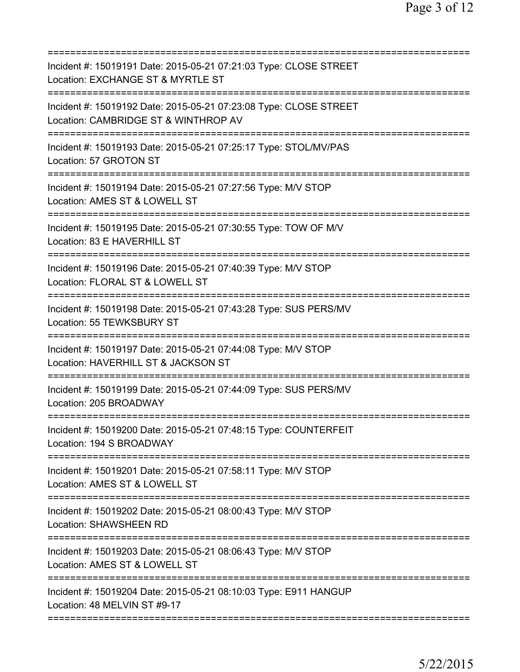| Incident #: 15019191 Date: 2015-05-21 07:21:03 Type: CLOSE STREET<br>Location: EXCHANGE ST & MYRTLE ST                                          |
|-------------------------------------------------------------------------------------------------------------------------------------------------|
| Incident #: 15019192 Date: 2015-05-21 07:23:08 Type: CLOSE STREET<br>Location: CAMBRIDGE ST & WINTHROP AV                                       |
| Incident #: 15019193 Date: 2015-05-21 07:25:17 Type: STOL/MV/PAS<br>Location: 57 GROTON ST                                                      |
| Incident #: 15019194 Date: 2015-05-21 07:27:56 Type: M/V STOP<br>Location: AMES ST & LOWELL ST                                                  |
| Incident #: 15019195 Date: 2015-05-21 07:30:55 Type: TOW OF M/V<br>Location: 83 E HAVERHILL ST                                                  |
| Incident #: 15019196 Date: 2015-05-21 07:40:39 Type: M/V STOP<br>Location: FLORAL ST & LOWELL ST<br>===========================<br>------------ |
| Incident #: 15019198 Date: 2015-05-21 07:43:28 Type: SUS PERS/MV<br>Location: 55 TEWKSBURY ST<br>=============                                  |
| Incident #: 15019197 Date: 2015-05-21 07:44:08 Type: M/V STOP<br>Location: HAVERHILL ST & JACKSON ST                                            |
| Incident #: 15019199 Date: 2015-05-21 07:44:09 Type: SUS PERS/MV<br>Location: 205 BROADWAY                                                      |
| Incident #: 15019200 Date: 2015-05-21 07:48:15 Type: COUNTERFEIT<br>Location: 194 S BROADWAY                                                    |
| Incident #: 15019201 Date: 2015-05-21 07:58:11 Type: M/V STOP<br>Location: AMES ST & LOWELL ST                                                  |
| Incident #: 15019202 Date: 2015-05-21 08:00:43 Type: M/V STOP<br>Location: SHAWSHEEN RD                                                         |
| Incident #: 15019203 Date: 2015-05-21 08:06:43 Type: M/V STOP<br>Location: AMES ST & LOWELL ST                                                  |
| Incident #: 15019204 Date: 2015-05-21 08:10:03 Type: E911 HANGUP<br>Location: 48 MELVIN ST #9-17                                                |
|                                                                                                                                                 |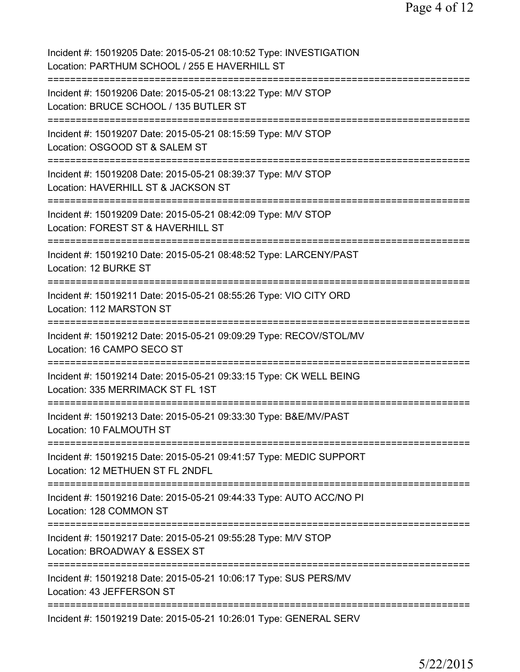| Incident #: 15019205 Date: 2015-05-21 08:10:52 Type: INVESTIGATION<br>Location: PARTHUM SCHOOL / 255 E HAVERHILL ST                        |
|--------------------------------------------------------------------------------------------------------------------------------------------|
| Incident #: 15019206 Date: 2015-05-21 08:13:22 Type: M/V STOP<br>Location: BRUCE SCHOOL / 135 BUTLER ST                                    |
| Incident #: 15019207 Date: 2015-05-21 08:15:59 Type: M/V STOP<br>Location: OSGOOD ST & SALEM ST<br>======================================  |
| Incident #: 15019208 Date: 2015-05-21 08:39:37 Type: M/V STOP<br>Location: HAVERHILL ST & JACKSON ST<br>===========                        |
| Incident #: 15019209 Date: 2015-05-21 08:42:09 Type: M/V STOP<br>Location: FOREST ST & HAVERHILL ST<br>================                    |
| Incident #: 15019210 Date: 2015-05-21 08:48:52 Type: LARCENY/PAST<br>Location: 12 BURKE ST                                                 |
| Incident #: 15019211 Date: 2015-05-21 08:55:26 Type: VIO CITY ORD<br>Location: 112 MARSTON ST<br>==================================        |
| Incident #: 15019212 Date: 2015-05-21 09:09:29 Type: RECOV/STOL/MV<br>Location: 16 CAMPO SECO ST<br>=============                          |
| Incident #: 15019214 Date: 2015-05-21 09:33:15 Type: CK WELL BEING<br>Location: 335 MERRIMACK ST FL 1ST                                    |
| Incident #: 15019213 Date: 2015-05-21 09:33:30 Type: B&E/MV/PAST<br>Location: 10 FALMOUTH ST                                               |
| Incident #: 15019215 Date: 2015-05-21 09:41:57 Type: MEDIC SUPPORT<br>Location: 12 METHUEN ST FL 2NDFL                                     |
| Incident #: 15019216 Date: 2015-05-21 09:44:33 Type: AUTO ACC/NO PI<br>Location: 128 COMMON ST                                             |
| Incident #: 15019217 Date: 2015-05-21 09:55:28 Type: M/V STOP<br>Location: BROADWAY & ESSEX ST<br>===========<br>========================= |
| Incident #: 15019218 Date: 2015-05-21 10:06:17 Type: SUS PERS/MV<br>Location: 43 JEFFERSON ST                                              |
| Incident #: 15019219 Date: 2015-05-21 10:26:01 Type: GENERAL SERV                                                                          |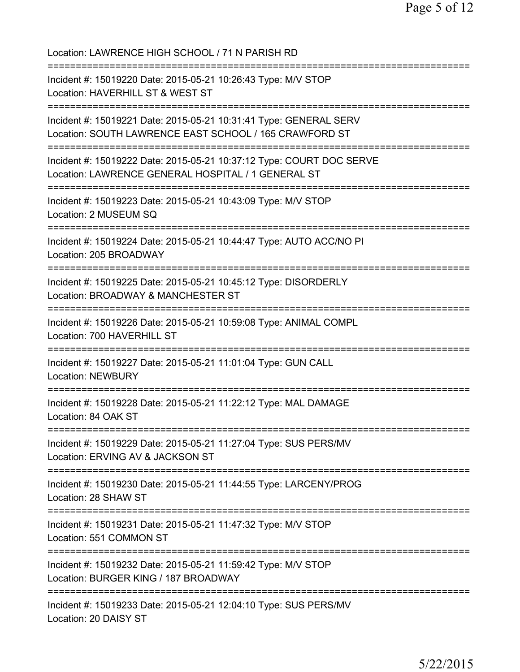| Location: LAWRENCE HIGH SCHOOL / 71 N PARISH RD                                                                                 |
|---------------------------------------------------------------------------------------------------------------------------------|
| Incident #: 15019220 Date: 2015-05-21 10:26:43 Type: M/V STOP<br>Location: HAVERHILL ST & WEST ST                               |
| Incident #: 15019221 Date: 2015-05-21 10:31:41 Type: GENERAL SERV<br>Location: SOUTH LAWRENCE EAST SCHOOL / 165 CRAWFORD ST     |
| Incident #: 15019222 Date: 2015-05-21 10:37:12 Type: COURT DOC SERVE<br>Location: LAWRENCE GENERAL HOSPITAL / 1 GENERAL ST      |
| Incident #: 15019223 Date: 2015-05-21 10:43:09 Type: M/V STOP<br>Location: 2 MUSEUM SQ                                          |
| Incident #: 15019224 Date: 2015-05-21 10:44:47 Type: AUTO ACC/NO PI<br>Location: 205 BROADWAY                                   |
| Incident #: 15019225 Date: 2015-05-21 10:45:12 Type: DISORDERLY<br>Location: BROADWAY & MANCHESTER ST                           |
| Incident #: 15019226 Date: 2015-05-21 10:59:08 Type: ANIMAL COMPL<br>Location: 700 HAVERHILL ST                                 |
| Incident #: 15019227 Date: 2015-05-21 11:01:04 Type: GUN CALL<br><b>Location: NEWBURY</b>                                       |
| Incident #: 15019228 Date: 2015-05-21 11:22:12 Type: MAL DAMAGE<br>Location: 84 OAK ST                                          |
| -----------------------<br>Incident #: 15019229 Date: 2015-05-21 11:27:04 Type: SUS PERS/MV<br>Location: ERVING AV & JACKSON ST |
| Incident #: 15019230 Date: 2015-05-21 11:44:55 Type: LARCENY/PROG<br>Location: 28 SHAW ST                                       |
| Incident #: 15019231 Date: 2015-05-21 11:47:32 Type: M/V STOP<br>Location: 551 COMMON ST                                        |
| Incident #: 15019232 Date: 2015-05-21 11:59:42 Type: M/V STOP<br>Location: BURGER KING / 187 BROADWAY                           |
| Incident #: 15019233 Date: 2015-05-21 12:04:10 Type: SUS PERS/MV<br>Location: 20 DAISY ST                                       |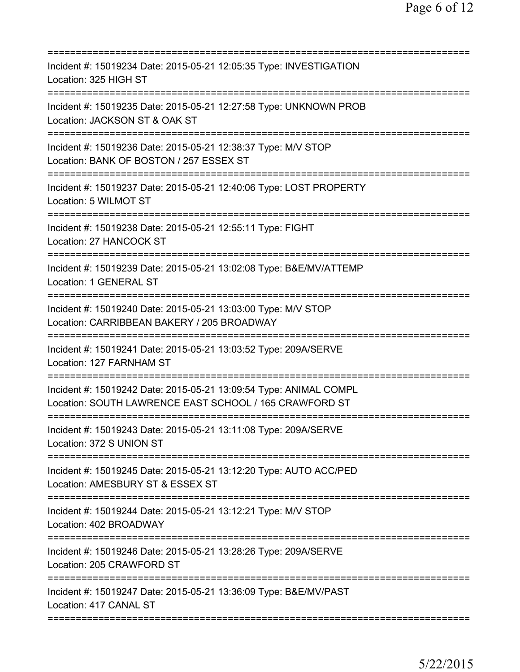| Incident #: 15019234 Date: 2015-05-21 12:05:35 Type: INVESTIGATION<br>Location: 325 HIGH ST                                 |
|-----------------------------------------------------------------------------------------------------------------------------|
| Incident #: 15019235 Date: 2015-05-21 12:27:58 Type: UNKNOWN PROB<br>Location: JACKSON ST & OAK ST                          |
| Incident #: 15019236 Date: 2015-05-21 12:38:37 Type: M/V STOP<br>Location: BANK OF BOSTON / 257 ESSEX ST                    |
| Incident #: 15019237 Date: 2015-05-21 12:40:06 Type: LOST PROPERTY<br>Location: 5 WILMOT ST                                 |
| Incident #: 15019238 Date: 2015-05-21 12:55:11 Type: FIGHT<br>Location: 27 HANCOCK ST                                       |
| Incident #: 15019239 Date: 2015-05-21 13:02:08 Type: B&E/MV/ATTEMP<br>Location: 1 GENERAL ST                                |
| Incident #: 15019240 Date: 2015-05-21 13:03:00 Type: M/V STOP<br>Location: CARRIBBEAN BAKERY / 205 BROADWAY                 |
| Incident #: 15019241 Date: 2015-05-21 13:03:52 Type: 209A/SERVE<br>Location: 127 FARNHAM ST<br>--------------------         |
| Incident #: 15019242 Date: 2015-05-21 13:09:54 Type: ANIMAL COMPL<br>Location: SOUTH LAWRENCE EAST SCHOOL / 165 CRAWFORD ST |
| Incident #: 15019243 Date: 2015-05-21 13:11:08 Type: 209A/SERVE<br>Location: 372 S UNION ST                                 |
| Incident #: 15019245 Date: 2015-05-21 13:12:20 Type: AUTO ACC/PED<br>Location: AMESBURY ST & ESSEX ST                       |
| Incident #: 15019244 Date: 2015-05-21 13:12:21 Type: M/V STOP<br>Location: 402 BROADWAY                                     |
| Incident #: 15019246 Date: 2015-05-21 13:28:26 Type: 209A/SERVE<br>Location: 205 CRAWFORD ST                                |
| Incident #: 15019247 Date: 2015-05-21 13:36:09 Type: B&E/MV/PAST<br>Location: 417 CANAL ST                                  |
|                                                                                                                             |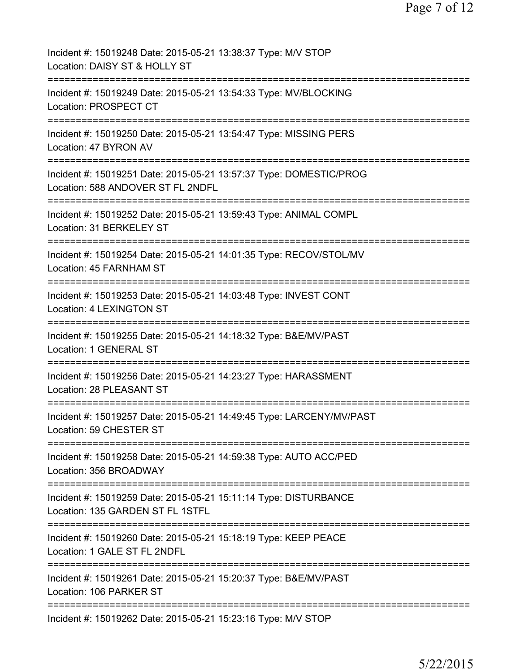| Incident #: 15019248 Date: 2015-05-21 13:38:37 Type: M/V STOP<br>Location: DAISY ST & HOLLY ST                |
|---------------------------------------------------------------------------------------------------------------|
| Incident #: 15019249 Date: 2015-05-21 13:54:33 Type: MV/BLOCKING<br>Location: PROSPECT CT                     |
| Incident #: 15019250 Date: 2015-05-21 13:54:47 Type: MISSING PERS<br>Location: 47 BYRON AV<br>--------------- |
| Incident #: 15019251 Date: 2015-05-21 13:57:37 Type: DOMESTIC/PROG<br>Location: 588 ANDOVER ST FL 2NDFL       |
| Incident #: 15019252 Date: 2015-05-21 13:59:43 Type: ANIMAL COMPL<br>Location: 31 BERKELEY ST                 |
| Incident #: 15019254 Date: 2015-05-21 14:01:35 Type: RECOV/STOL/MV<br>Location: 45 FARNHAM ST                 |
| Incident #: 15019253 Date: 2015-05-21 14:03:48 Type: INVEST CONT<br>Location: 4 LEXINGTON ST                  |
| Incident #: 15019255 Date: 2015-05-21 14:18:32 Type: B&E/MV/PAST<br>Location: 1 GENERAL ST                    |
| Incident #: 15019256 Date: 2015-05-21 14:23:27 Type: HARASSMENT<br>Location: 28 PLEASANT ST                   |
| Incident #: 15019257 Date: 2015-05-21 14:49:45 Type: LARCENY/MV/PAST<br>Location: 59 CHESTER ST               |
| Incident #: 15019258 Date: 2015-05-21 14:59:38 Type: AUTO ACC/PED<br>Location: 356 BROADWAY                   |
| Incident #: 15019259 Date: 2015-05-21 15:11:14 Type: DISTURBANCE<br>Location: 135 GARDEN ST FL 1STFL          |
| Incident #: 15019260 Date: 2015-05-21 15:18:19 Type: KEEP PEACE<br>Location: 1 GALE ST FL 2NDFL               |
| Incident #: 15019261 Date: 2015-05-21 15:20:37 Type: B&E/MV/PAST<br>Location: 106 PARKER ST                   |
| Incident #: 15019262 Date: 2015-05-21 15:23:16 Type: M/V STOP                                                 |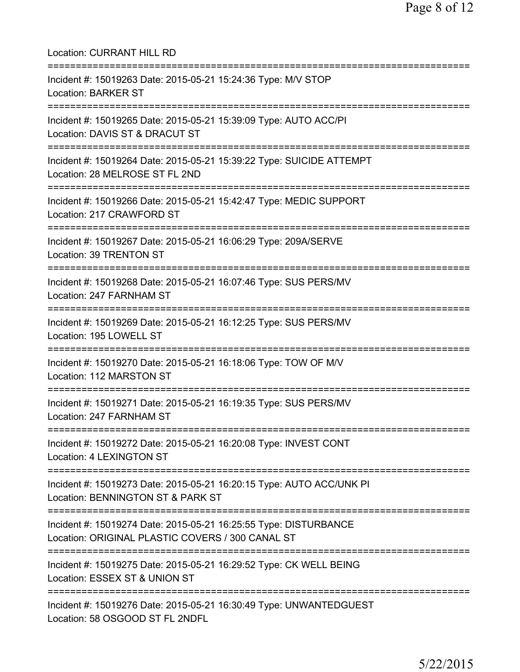| <b>Location: CURRANT HILL RD</b>                                                                                                           |
|--------------------------------------------------------------------------------------------------------------------------------------------|
| Incident #: 15019263 Date: 2015-05-21 15:24:36 Type: M/V STOP<br><b>Location: BARKER ST</b><br>==============================              |
| Incident #: 15019265 Date: 2015-05-21 15:39:09 Type: AUTO ACC/PI<br>Location: DAVIS ST & DRACUT ST<br>==================================== |
| Incident #: 15019264 Date: 2015-05-21 15:39:22 Type: SUICIDE ATTEMPT<br>Location: 28 MELROSE ST FL 2ND                                     |
| Incident #: 15019266 Date: 2015-05-21 15:42:47 Type: MEDIC SUPPORT<br>Location: 217 CRAWFORD ST                                            |
| Incident #: 15019267 Date: 2015-05-21 16:06:29 Type: 209A/SERVE<br>Location: 39 TRENTON ST                                                 |
| Incident #: 15019268 Date: 2015-05-21 16:07:46 Type: SUS PERS/MV<br>Location: 247 FARNHAM ST                                               |
| Incident #: 15019269 Date: 2015-05-21 16:12:25 Type: SUS PERS/MV<br>Location: 195 LOWELL ST                                                |
| Incident #: 15019270 Date: 2015-05-21 16:18:06 Type: TOW OF M/V<br>Location: 112 MARSTON ST                                                |
| Incident #: 15019271 Date: 2015-05-21 16:19:35 Type: SUS PERS/MV<br>Location: 247 FARNHAM ST                                               |
| =========================<br>Incident #: 15019272 Date: 2015-05-21 16:20:08 Type: INVEST CONT<br>Location: 4 LEXINGTON ST                  |
| Incident #: 15019273 Date: 2015-05-21 16:20:15 Type: AUTO ACC/UNK PI<br>Location: BENNINGTON ST & PARK ST                                  |
| Incident #: 15019274 Date: 2015-05-21 16:25:55 Type: DISTURBANCE<br>Location: ORIGINAL PLASTIC COVERS / 300 CANAL ST                       |
| :=======================<br>Incident #: 15019275 Date: 2015-05-21 16:29:52 Type: CK WELL BEING<br>Location: ESSEX ST & UNION ST            |
| Incident #: 15019276 Date: 2015-05-21 16:30:49 Type: UNWANTEDGUEST<br>Location: 58 OSGOOD ST FL 2NDFL                                      |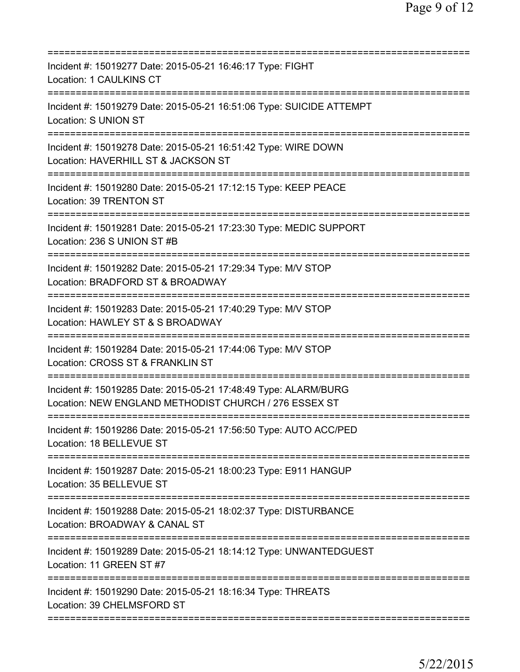| Incident #: 15019277 Date: 2015-05-21 16:46:17 Type: FIGHT<br>Location: 1 CAULKINS CT                                                  |
|----------------------------------------------------------------------------------------------------------------------------------------|
| Incident #: 15019279 Date: 2015-05-21 16:51:06 Type: SUICIDE ATTEMPT<br>Location: S UNION ST                                           |
| Incident #: 15019278 Date: 2015-05-21 16:51:42 Type: WIRE DOWN<br>Location: HAVERHILL ST & JACKSON ST<br>============================= |
| Incident #: 15019280 Date: 2015-05-21 17:12:15 Type: KEEP PEACE<br>Location: 39 TRENTON ST                                             |
| Incident #: 15019281 Date: 2015-05-21 17:23:30 Type: MEDIC SUPPORT<br>Location: 236 S UNION ST #B                                      |
| Incident #: 15019282 Date: 2015-05-21 17:29:34 Type: M/V STOP<br>Location: BRADFORD ST & BROADWAY                                      |
| Incident #: 15019283 Date: 2015-05-21 17:40:29 Type: M/V STOP<br>Location: HAWLEY ST & S BROADWAY                                      |
| Incident #: 15019284 Date: 2015-05-21 17:44:06 Type: M/V STOP<br>Location: CROSS ST & FRANKLIN ST                                      |
| Incident #: 15019285 Date: 2015-05-21 17:48:49 Type: ALARM/BURG<br>Location: NEW ENGLAND METHODIST CHURCH / 276 ESSEX ST               |
| Incident #: 15019286 Date: 2015-05-21 17:56:50 Type: AUTO ACC/PED<br>Location: 18 BELLEVUE ST                                          |
| Incident #: 15019287 Date: 2015-05-21 18:00:23 Type: E911 HANGUP<br>Location: 35 BELLEVUE ST                                           |
| Incident #: 15019288 Date: 2015-05-21 18:02:37 Type: DISTURBANCE<br>Location: BROADWAY & CANAL ST                                      |
| Incident #: 15019289 Date: 2015-05-21 18:14:12 Type: UNWANTEDGUEST<br>Location: 11 GREEN ST #7                                         |
| Incident #: 15019290 Date: 2015-05-21 18:16:34 Type: THREATS<br>Location: 39 CHELMSFORD ST                                             |
|                                                                                                                                        |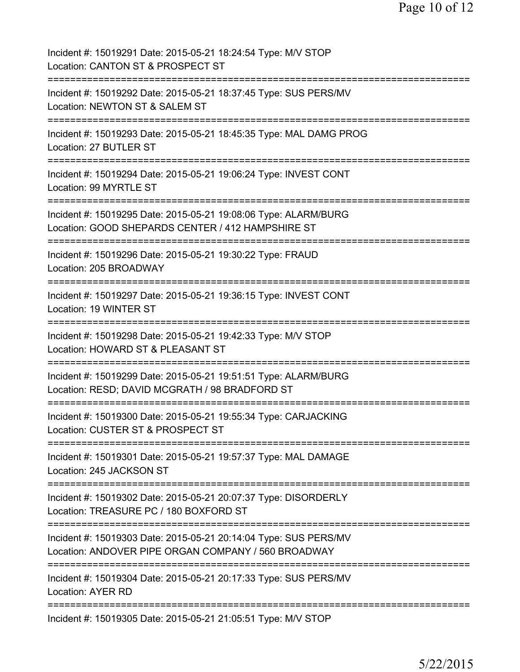| Incident #: 15019291 Date: 2015-05-21 18:24:54 Type: M/V STOP<br>Location: CANTON ST & PROSPECT ST                                                  |
|-----------------------------------------------------------------------------------------------------------------------------------------------------|
| Incident #: 15019292 Date: 2015-05-21 18:37:45 Type: SUS PERS/MV<br>Location: NEWTON ST & SALEM ST                                                  |
| Incident #: 15019293 Date: 2015-05-21 18:45:35 Type: MAL DAMG PROG<br>Location: 27 BUTLER ST                                                        |
| Incident #: 15019294 Date: 2015-05-21 19:06:24 Type: INVEST CONT<br>Location: 99 MYRTLE ST                                                          |
| Incident #: 15019295 Date: 2015-05-21 19:08:06 Type: ALARM/BURG<br>Location: GOOD SHEPARDS CENTER / 412 HAMPSHIRE ST                                |
| Incident #: 15019296 Date: 2015-05-21 19:30:22 Type: FRAUD<br>Location: 205 BROADWAY                                                                |
| Incident #: 15019297 Date: 2015-05-21 19:36:15 Type: INVEST CONT<br>Location: 19 WINTER ST                                                          |
| Incident #: 15019298 Date: 2015-05-21 19:42:33 Type: M/V STOP<br>Location: HOWARD ST & PLEASANT ST                                                  |
| Incident #: 15019299 Date: 2015-05-21 19:51:51 Type: ALARM/BURG<br>Location: RESD; DAVID MCGRATH / 98 BRADFORD ST                                   |
| Incident #: 15019300 Date: 2015-05-21 19:55:34 Type: CARJACKING<br>Location: CUSTER ST & PROSPECT ST                                                |
| Incident #: 15019301 Date: 2015-05-21 19:57:37 Type: MAL DAMAGE<br>Location: 245 JACKSON ST                                                         |
| Incident #: 15019302 Date: 2015-05-21 20:07:37 Type: DISORDERLY<br>Location: TREASURE PC / 180 BOXFORD ST<br>===============================        |
| Incident #: 15019303 Date: 2015-05-21 20:14:04 Type: SUS PERS/MV<br>Location: ANDOVER PIPE ORGAN COMPANY / 560 BROADWAY<br>======================== |
| Incident #: 15019304 Date: 2015-05-21 20:17:33 Type: SUS PERS/MV<br><b>Location: AYER RD</b>                                                        |
| Incident #: 15019305 Date: 2015-05-21 21:05:51 Type: M/V STOP                                                                                       |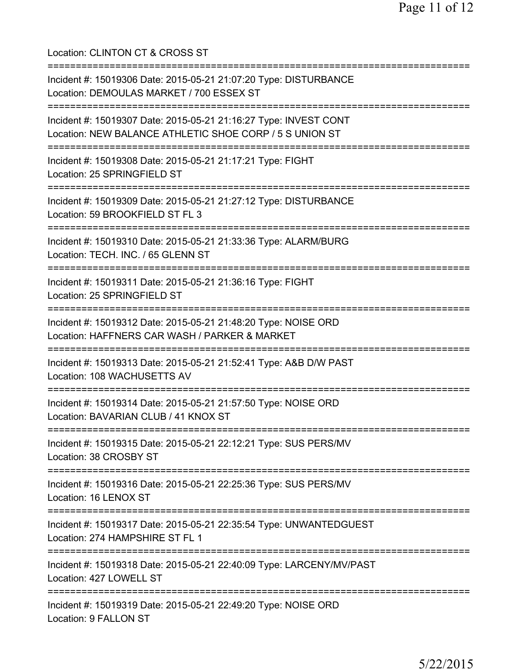Location: CLINTON CT & CROSS ST =========================================================================== Incident #: 15019306 Date: 2015-05-21 21:07:20 Type: DISTURBANCE Location: DEMOULAS MARKET / 700 ESSEX ST =========================================================================== Incident #: 15019307 Date: 2015-05-21 21:16:27 Type: INVEST CONT Location: NEW BALANCE ATHLETIC SHOE CORP / 5 S UNION ST =========================================================================== Incident #: 15019308 Date: 2015-05-21 21:17:21 Type: FIGHT Location: 25 SPRINGFIELD ST =========================================================================== Incident #: 15019309 Date: 2015-05-21 21:27:12 Type: DISTURBANCE Location: 59 BROOKFIELD ST FL 3 =========================================================================== Incident #: 15019310 Date: 2015-05-21 21:33:36 Type: ALARM/BURG Location: TECH. INC. / 65 GLENN ST =========================================================================== Incident #: 15019311 Date: 2015-05-21 21:36:16 Type: FIGHT Location: 25 SPRINGFIELD ST =========================================================================== Incident #: 15019312 Date: 2015-05-21 21:48:20 Type: NOISE ORD Location: HAFFNERS CAR WASH / PARKER & MARKET =========================================================================== Incident #: 15019313 Date: 2015-05-21 21:52:41 Type: A&B D/W PAST Location: 108 WACHUSETTS AV =========================================================================== Incident #: 15019314 Date: 2015-05-21 21:57:50 Type: NOISE ORD Location: BAVARIAN CLUB / 41 KNOX ST =========================================================================== Incident #: 15019315 Date: 2015-05-21 22:12:21 Type: SUS PERS/MV Location: 38 CROSBY ST =========================================================================== Incident #: 15019316 Date: 2015-05-21 22:25:36 Type: SUS PERS/MV Location: 16 LENOX ST =========================================================================== Incident #: 15019317 Date: 2015-05-21 22:35:54 Type: UNWANTEDGUEST Location: 274 HAMPSHIRE ST FL 1 =========================================================================== Incident #: 15019318 Date: 2015-05-21 22:40:09 Type: LARCENY/MV/PAST Location: 427 LOWELL ST =========================================================================== Incident #: 15019319 Date: 2015-05-21 22:49:20 Type: NOISE ORD Location: 9 FALLON ST